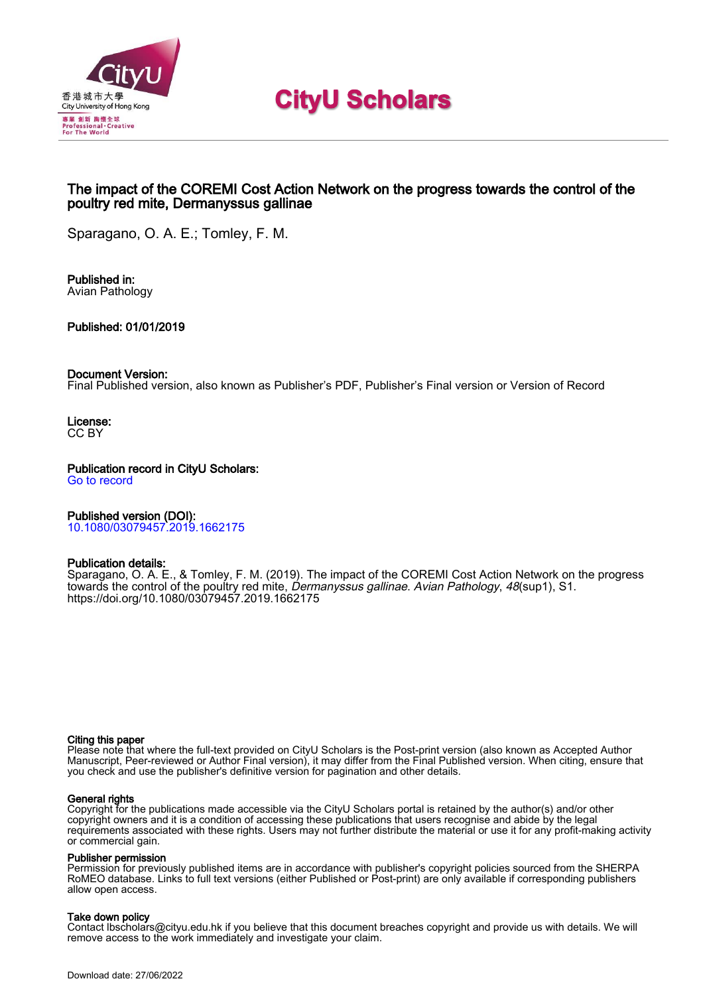

# **CityU Scholars**

# The impact of the COREMI Cost Action Network on the progress towards the control of the poultry red mite, Dermanyssus gallinae

Sparagano, O. A. E.; Tomley, F. M.

Published in: Avian Pathology

Published: 01/01/2019

### Document Version:

Final Published version, also known as Publisher's PDF, Publisher's Final version or Version of Record

License: CC BY

Publication record in CityU Scholars: [Go to record](https://scholars.cityu.edu.hk/en/publications/the-impact-of-the-coremi-cost-action-network-on-the-progress-towards-the-control-of-the-poultry-red-mite-dermanyssus-gallinae(89df25dc-ab04-4e17-b846-5a218b07a657).html)

# Published version (DOI):

[10.1080/03079457.2019.1662175](https://doi.org/10.1080/03079457.2019.1662175)

# Publication details:

[Sparagano, O. A. E.](https://scholars.cityu.edu.hk/en/persons/olivier-andre-sparagano(ccf48cfe-a54b-4ada-80ea-e7adc261ba38).html), & Tomley, F. M. (2019). [The impact of the COREMI Cost Action Network on the progress](https://scholars.cityu.edu.hk/en/publications/the-impact-of-the-coremi-cost-action-network-on-the-progress-towards-the-control-of-the-poultry-red-mite-dermanyssus-gallinae(89df25dc-ab04-4e17-b846-5a218b07a657).html) [towards the control of the poultry red mite,](https://scholars.cityu.edu.hk/en/publications/the-impact-of-the-coremi-cost-action-network-on-the-progress-towards-the-control-of-the-poultry-red-mite-dermanyssus-gallinae(89df25dc-ab04-4e17-b846-5a218b07a657).html) [Dermanyssus gallinae](https://scholars.cityu.edu.hk/en/publications/the-impact-of-the-coremi-cost-action-network-on-the-progress-towards-the-control-of-the-poultry-red-mite-dermanyssus-gallinae(89df25dc-ab04-4e17-b846-5a218b07a657).html). [Avian Pathology](https://scholars.cityu.edu.hk/en/journals/avian-pathology(37cc3703-769e-480e-8a32-358b3761b2c7)/publications.html), 48(sup1), S1. <https://doi.org/10.1080/03079457.2019.1662175>

#### Citing this paper

Please note that where the full-text provided on CityU Scholars is the Post-print version (also known as Accepted Author Manuscript, Peer-reviewed or Author Final version), it may differ from the Final Published version. When citing, ensure that you check and use the publisher's definitive version for pagination and other details.

#### General rights

Copyright for the publications made accessible via the CityU Scholars portal is retained by the author(s) and/or other copyright owners and it is a condition of accessing these publications that users recognise and abide by the legal requirements associated with these rights. Users may not further distribute the material or use it for any profit-making activity or commercial gain.

#### Publisher permission

Permission for previously published items are in accordance with publisher's copyright policies sourced from the SHERPA RoMEO database. Links to full text versions (either Published or Post-print) are only available if corresponding publishers allow open access.

#### Take down policy

Contact lbscholars@cityu.edu.hk if you believe that this document breaches copyright and provide us with details. We will remove access to the work immediately and investigate your claim.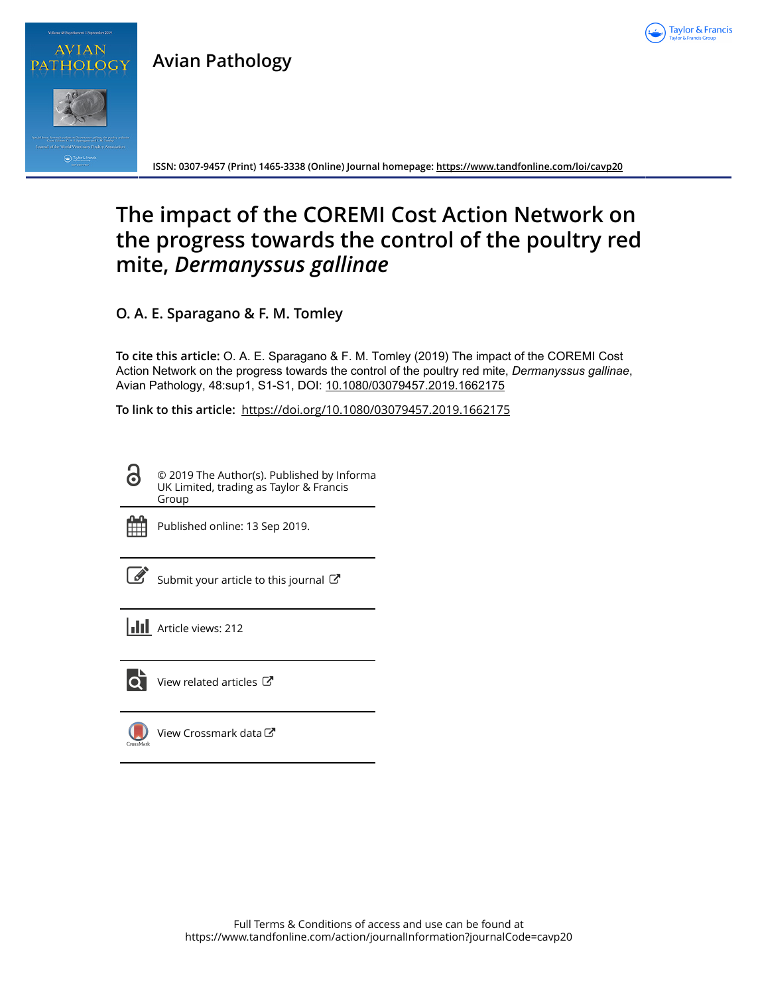

**Avian Pathology**



PATHOLOG

**ISSN: 0307-9457 (Print) 1465-3338 (Online) Journal homepage:<https://www.tandfonline.com/loi/cavp20>**

# **The impact of the COREMI Cost Action Network on the progress towards the control of the poultry red mite,** *Dermanyssus gallinae*

**O. A. E. Sparagano & F. M. Tomley**

**To cite this article:** O. A. E. Sparagano & F. M. Tomley (2019) The impact of the COREMI Cost Action Network on the progress towards the control of the poultry red mite, *Dermanyssusgallinae*, Avian Pathology, 48:sup1, S1-S1, DOI: [10.1080/03079457.2019.1662175](https://www.tandfonline.com/action/showCitFormats?doi=10.1080/03079457.2019.1662175)

**To link to this article:** <https://doi.org/10.1080/03079457.2019.1662175>

6 © 2019 The Author(s). Published by Informa UK Limited, trading as Taylor & Francis Group



Published online: 13 Sep 2019.



 $\overline{\mathscr{L}}$  [Submit your article to this journal](https://www.tandfonline.com/action/authorSubmission?journalCode=cavp20&show=instructions)  $\mathbb{F}$ 

**III** Article views: 212



View related articles

[View Crossmark data](http://crossmark.crossref.org/dialog/?doi=10.1080/03079457.2019.1662175&domain=pdf&date_stamp=2019-09-13)